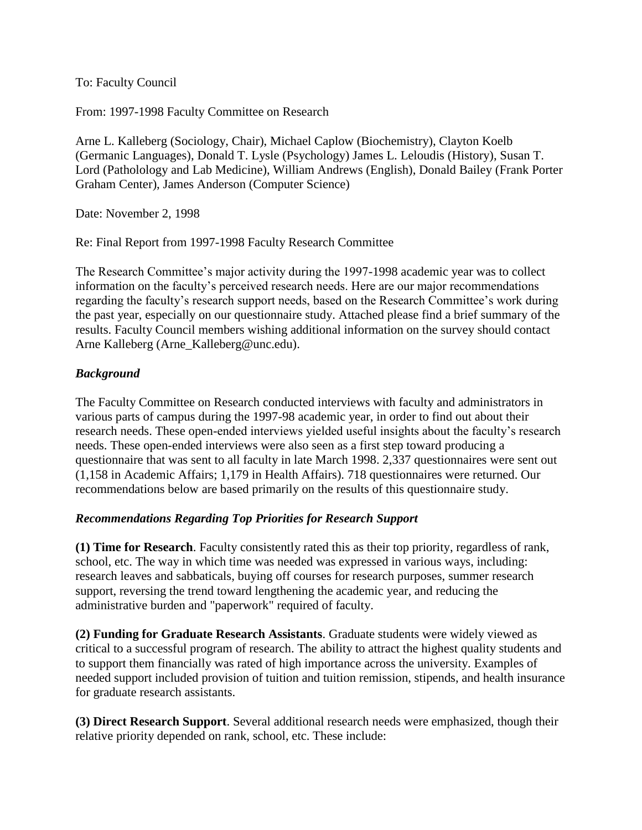To: Faculty Council

From: 1997-1998 Faculty Committee on Research

Arne L. Kalleberg (Sociology, Chair), Michael Caplow (Biochemistry), Clayton Koelb (Germanic Languages), Donald T. Lysle (Psychology) James L. Leloudis (History), Susan T. Lord (Patholology and Lab Medicine), William Andrews (English), Donald Bailey (Frank Porter Graham Center), James Anderson (Computer Science)

Date: November 2, 1998

Re: Final Report from 1997-1998 Faculty Research Committee

The Research Committee's major activity during the 1997-1998 academic year was to collect information on the faculty's perceived research needs. Here are our major recommendations regarding the faculty's research support needs, based on the Research Committee's work during the past year, especially on our questionnaire study. Attached please find a brief summary of the results. Faculty Council members wishing additional information on the survey should contact Arne Kalleberg (Arne\_Kalleberg@unc.edu).

## *Background*

The Faculty Committee on Research conducted interviews with faculty and administrators in various parts of campus during the 1997-98 academic year, in order to find out about their research needs. These open-ended interviews yielded useful insights about the faculty's research needs. These open-ended interviews were also seen as a first step toward producing a questionnaire that was sent to all faculty in late March 1998. 2,337 questionnaires were sent out (1,158 in Academic Affairs; 1,179 in Health Affairs). 718 questionnaires were returned. Our recommendations below are based primarily on the results of this questionnaire study.

## *Recommendations Regarding Top Priorities for Research Support*

**(1) Time for Research**. Faculty consistently rated this as their top priority, regardless of rank, school, etc. The way in which time was needed was expressed in various ways, including: research leaves and sabbaticals, buying off courses for research purposes, summer research support, reversing the trend toward lengthening the academic year, and reducing the administrative burden and "paperwork" required of faculty.

**(2) Funding for Graduate Research Assistants**. Graduate students were widely viewed as critical to a successful program of research. The ability to attract the highest quality students and to support them financially was rated of high importance across the university. Examples of needed support included provision of tuition and tuition remission, stipends, and health insurance for graduate research assistants.

**(3) Direct Research Support**. Several additional research needs were emphasized, though their relative priority depended on rank, school, etc. These include: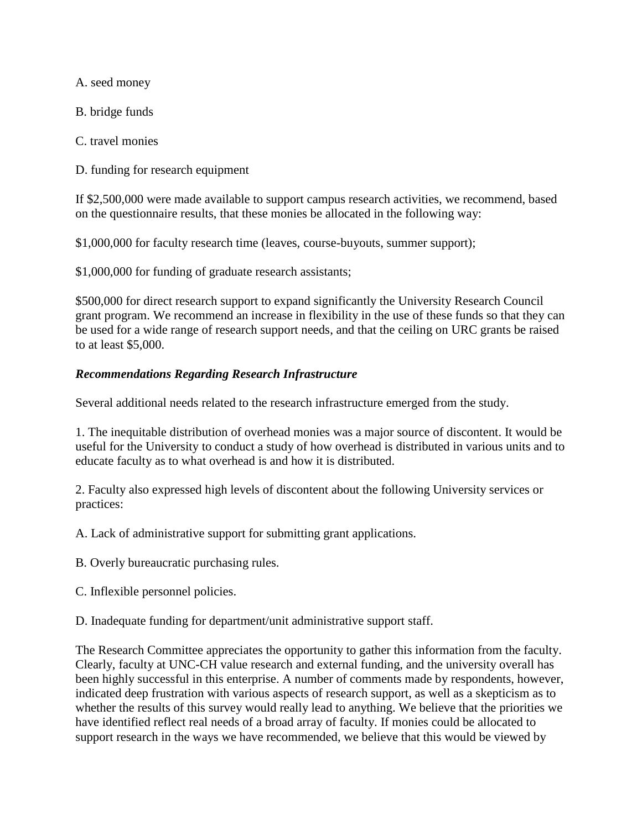A. seed money

B. bridge funds

C. travel monies

D. funding for research equipment

If \$2,500,000 were made available to support campus research activities, we recommend, based on the questionnaire results, that these monies be allocated in the following way:

\$1,000,000 for faculty research time (leaves, course-buyouts, summer support);

\$1,000,000 for funding of graduate research assistants;

\$500,000 for direct research support to expand significantly the University Research Council grant program. We recommend an increase in flexibility in the use of these funds so that they can be used for a wide range of research support needs, and that the ceiling on URC grants be raised to at least \$5,000.

## *Recommendations Regarding Research Infrastructure*

Several additional needs related to the research infrastructure emerged from the study.

1. The inequitable distribution of overhead monies was a major source of discontent. It would be useful for the University to conduct a study of how overhead is distributed in various units and to educate faculty as to what overhead is and how it is distributed.

2. Faculty also expressed high levels of discontent about the following University services or practices:

A. Lack of administrative support for submitting grant applications.

B. Overly bureaucratic purchasing rules.

C. Inflexible personnel policies.

D. Inadequate funding for department/unit administrative support staff.

The Research Committee appreciates the opportunity to gather this information from the faculty. Clearly, faculty at UNC-CH value research and external funding, and the university overall has been highly successful in this enterprise. A number of comments made by respondents, however, indicated deep frustration with various aspects of research support, as well as a skepticism as to whether the results of this survey would really lead to anything. We believe that the priorities we have identified reflect real needs of a broad array of faculty. If monies could be allocated to support research in the ways we have recommended, we believe that this would be viewed by